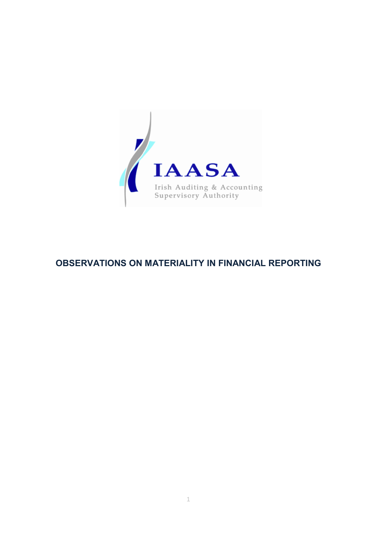

# **OBSERVATIONS ON MATERIALITY IN FINANCIAL REPORTING**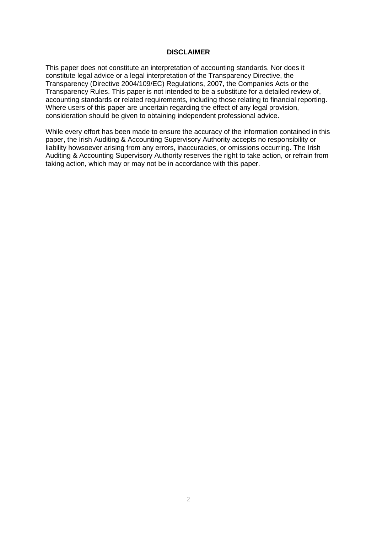## **DISCLAIMER**

This paper does not constitute an interpretation of accounting standards. Nor does it constitute legal advice or a legal interpretation of the Transparency Directive, the Transparency (Directive 2004/109/EC) Regulations, 2007, the Companies Acts or the Transparency Rules. This paper is not intended to be a substitute for a detailed review of, accounting standards or related requirements, including those relating to financial reporting. Where users of this paper are uncertain regarding the effect of any legal provision, consideration should be given to obtaining independent professional advice.

While every effort has been made to ensure the accuracy of the information contained in this paper, the Irish Auditing & Accounting Supervisory Authority accepts no responsibility or liability howsoever arising from any errors, inaccuracies, or omissions occurring. The Irish Auditing & Accounting Supervisory Authority reserves the right to take action, or refrain from taking action, which may or may not be in accordance with this paper.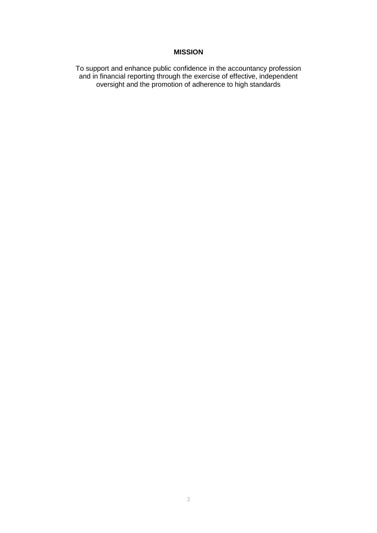## **MISSION**

To support and enhance public confidence in the accountancy profession and in financial reporting through the exercise of effective, independent oversight and the promotion of adherence to high standards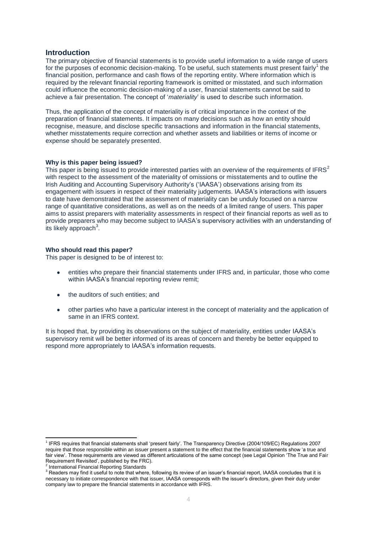## **Introduction**

The primary objective of financial statements is to provide useful information to a wide range of users for the purposes of economic decision-making. To be useful, such statements must present fairly<sup>1</sup> the financial position, performance and cash flows of the reporting entity. Where information which is required by the relevant financial reporting framework is omitted or misstated, and such information could influence the economic decision-making of a user, financial statements cannot be said to achieve a fair presentation. The concept of "*materiality*" is used to describe such information.

Thus, the application of the concept of materiality is of critical importance in the context of the preparation of financial statements. It impacts on many decisions such as how an entity should recognise, measure, and disclose specific transactions and information in the financial statements, whether misstatements require correction and whether assets and liabilities or items of income or expense should be separately presented.

#### **Why is this paper being issued?**

This paper is being issued to provide interested parties with an overview of the requirements of IFRS<sup>2</sup> with respect to the assessment of the materiality of omissions or misstatements and to outline the Irish Auditing and Accounting Supervisory Authority"s ("IAASA") observations arising from its engagement with issuers in respect of their materiality judgements. IAASA's interactions with issuers to date have demonstrated that the assessment of materiality can be unduly focused on a narrow range of quantitative considerations, as well as on the needs of a limited range of users. This paper aims to assist preparers with materiality assessments in respect of their financial reports as well as to provide preparers who may become subject to IAASA"s supervisory activities with an understanding of  $\overline{\phantom{a}}$  its likely approach<sup>3</sup>.

#### **Who should read this paper?**

This paper is designed to be of interest to:

- entities who prepare their financial statements under IFRS and, in particular, those who come  $\bullet$ within IAASA's financial reporting review remit;
- the auditors of such entities; and  $\bullet$
- other parties who have a particular interest in the concept of materiality and the application of  $\bullet$ same in an IFRS context.

It is hoped that, by providing its observations on the subject of materiality, entities under IAASA"s supervisory remit will be better informed of its areas of concern and thereby be better equipped to respond more appropriately to IAASA's information requests.

 1 IFRS requires that financial statements shall "present fairly". The Transparency Directive (2004/109/EC) Regulations 2007 require that those responsible within an issuer present a statement to the effect that the financial statements show "a true and fair view". These requirements are viewed as different articulations of the same concept (see Legal Opinion "The True and Fair Requirement Revisited", published by the FRC).

<sup>&</sup>lt;sup>2</sup> International Financial Reporting Standards

 $3$  Readers may find it useful to note that where, following its review of an issuer's financial report, IAASA concludes that it is necessary to initiate correspondence with that issuer, IAASA corresponds with the issuer"s directors, given their duty under company law to prepare the financial statements in accordance with IFRS.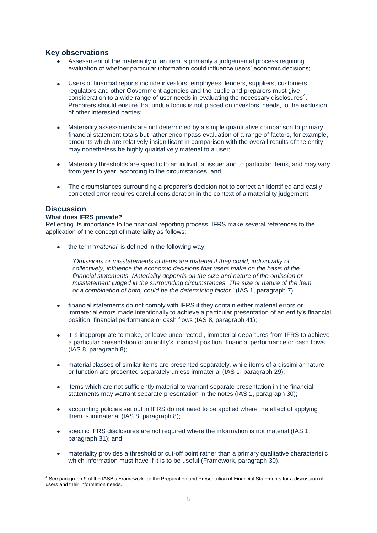## **Key observations**

- Assessment of the materiality of an item is primarily a judgemental process requiring evaluation of whether particular information could influence users" economic decisions;
- Users of financial reports include investors, employees, lenders, suppliers, customers, regulators and other Government agencies and the public and preparers must give consideration to a wide range of user needs in evaluating the necessary disclosures<sup>4</sup>. Preparers should ensure that undue focus is not placed on investors" needs, to the exclusion of other interested parties;
- Materiality assessments are not determined by a simple quantitative comparison to primary financial statement totals but rather encompass evaluation of a range of factors, for example, amounts which are relatively insignificant in comparison with the overall results of the entity may nonetheless be highly qualitatively material to a user;
- Materiality thresholds are specific to an individual issuer and to particular items, and may vary  $\bullet$ from year to year, according to the circumstances; and
- The circumstances surrounding a preparer"s decision not to correct an identified and easily corrected error requires careful consideration in the context of a materiality judgement.

## **Discussion**

## **What does IFRS provide?**

Reflecting its importance to the financial reporting process, IFRS make several references to the application of the concept of materiality as follows:

the term "*material*" is defined in the following way:

"*Omissions or misstatements of items are material if they could, individually or collectively, influence the economic decisions that users make on the basis of the financial statements. Materiality depends on the size and nature of the omission or misstatement judged in the surrounding circumstances. The size or nature of the item, or a combination of both, could be the determining factor*." (IAS 1, paragraph 7)

- financial statements do not comply with IFRS if they contain either material errors or immaterial errors made intentionally to achieve a particular presentation of an entity"s financial position, financial performance or cash flows (IAS 8, paragraph 41);
- it is inappropriate to make, or leave uncorrected , immaterial departures from IFRS to achieve a particular presentation of an entity"s financial position, financial performance or cash flows (IAS 8, paragraph 8);
- material classes of similar items are presented separately, while items of a dissimilar nature or function are presented separately unless immaterial (IAS 1, paragraph 29);
- items which are not sufficiently material to warrant separate presentation in the financial  $\bullet$ statements may warrant separate presentation in the notes (IAS 1, paragraph 30);
- accounting policies set out in IFRS do not need to be applied where the effect of applying  $\bullet$ them is immaterial (IAS 8, paragraph 8);
- specific IFRS disclosures are not required where the information is not material (IAS 1, paragraph 31); and
- materiality provides a threshold or cut-off point rather than a primary qualitative characteristic which information must have if it is to be useful (Framework, paragraph 30).

<sup>1</sup> <sup>4</sup> See paragraph 9 of the IASB's Framework for the Preparation and Presentation of Financial Statements for a discussion of users and their information needs.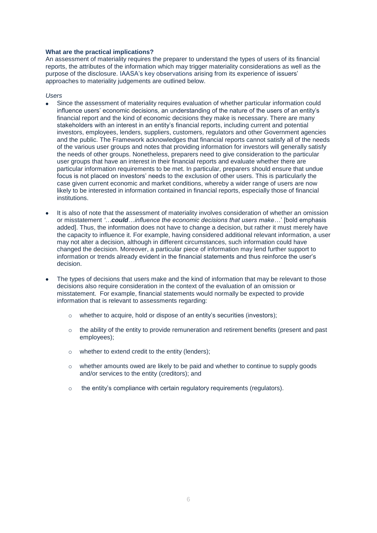## **What are the practical implications?**

An assessment of materiality requires the preparer to understand the types of users of its financial reports, the attributes of the information which may trigger materiality considerations as well as the purpose of the disclosure. IAASA's key observations arising from its experience of issuers' approaches to materiality judgements are outlined below.

#### *Users*

- Since the assessment of materiality requires evaluation of whether particular information could influence users' economic decisions, an understanding of the nature of the users of an entity's financial report and the kind of economic decisions they make is necessary. There are many stakeholders with an interest in an entity's financial reports, including current and potential investors, employees, lenders, suppliers, customers, regulators and other Government agencies and the public. The Framework acknowledges that financial reports cannot satisfy all of the needs of the various user groups and notes that providing information for investors will generally satisfy the needs of other groups. Nonetheless, preparers need to give consideration to the particular user groups that have an interest in their financial reports and evaluate whether there are particular information requirements to be met. In particular, preparers should ensure that undue focus is not placed on investors" needs to the exclusion of other users. This is particularly the case given current economic and market conditions, whereby a wider range of users are now likely to be interested in information contained in financial reports, especially those of financial institutions.
- It is also of note that the assessment of materiality involves consideration of whether an omission or misstatement *'…could…influence the economic decisions that users make…*" [bold emphasis added]. Thus, the information does not have to change a decision, but rather it must merely have the capacity to influence it. For example, having considered additional relevant information, a user may not alter a decision, although in different circumstances, such information could have changed the decision. Moreover, a particular piece of information may lend further support to information or trends already evident in the financial statements and thus reinforce the user"s decision.
- The types of decisions that users make and the kind of information that may be relevant to those decisions also require consideration in the context of the evaluation of an omission or misstatement. For example, financial statements would normally be expected to provide information that is relevant to assessments regarding:
	- o whether to acquire, hold or dispose of an entity"s securities (investors);
	- $\circ$  the ability of the entity to provide remuneration and retirement benefits (present and past employees);
	- o whether to extend credit to the entity (lenders);
	- $\circ$  whether amounts owed are likely to be paid and whether to continue to supply goods and/or services to the entity (creditors); and
	- $\circ$  the entity's compliance with certain regulatory requirements (regulators).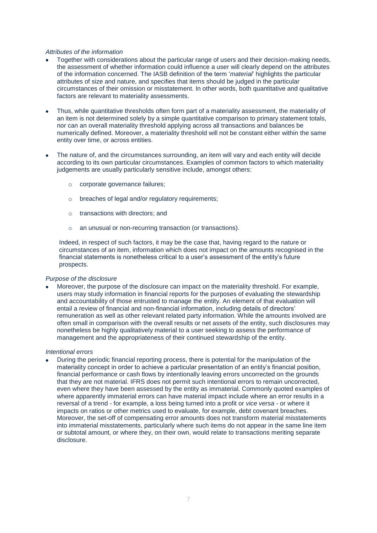#### *Attributes of the information*

- Together with considerations about the particular range of users and their decision-making needs, the assessment of whether information could influence a user will clearly depend on the attributes of the information concerned. The IASB definition of the term "*material*" highlights the particular attributes of size and nature, and specifies that items should be judged in the particular circumstances of their omission or misstatement. In other words, both quantitative and qualitative factors are relevant to materiality assessments.
- Thus, while quantitative thresholds often form part of a materiality assessment, the materiality of an item is not determined solely by a simple quantitative comparison to primary statement totals, nor can an overall materiality threshold applying across all transactions and balances be numerically defined. Moreover, a materiality threshold will not be constant either within the same entity over time, or across entities.
- The nature of, and the circumstances surrounding, an item will vary and each entity will decide according to its own particular circumstances. Examples of common factors to which materiality judgements are usually particularly sensitive include, amongst others:
	- o corporate governance failures;
	- o breaches of legal and/or regulatory requirements;
	- o transactions with directors; and
	- o an unusual or non-recurring transaction (or transactions).

Indeed, in respect of such factors, it may be the case that, having regard to the nature or circumstances of an item, information which does not impact on the amounts recognised in the financial statements is nonetheless critical to a user's assessment of the entity's future prospects.

#### *Purpose of the disclosure*

Moreover, the purpose of the disclosure can impact on the materiality threshold. For example, users may study information in financial reports for the purposes of evaluating the stewardship and accountability of those entrusted to manage the entity. An element of that evaluation will entail a review of financial and non-financial information, including details of directors' remuneration as well as other relevant related party information. While the amounts involved are often small in comparison with the overall results or net assets of the entity, such disclosures may nonetheless be highly qualitatively material to a user seeking to assess the performance of management and the appropriateness of their continued stewardship of the entity.

#### *Intentional errors*

During the periodic financial reporting process, there is potential for the manipulation of the materiality concept in order to achieve a particular presentation of an entity"s financial position, financial performance or cash flows by intentionally leaving errors uncorrected on the grounds that they are not material. IFRS does not permit such intentional errors to remain uncorrected, even where they have been assessed by the entity as immaterial. Commonly quoted examples of where apparently immaterial errors can have material impact include where an error results in a reversal of a trend - for example, a loss being turned into a profit or *vice versa* - or where it impacts on ratios or other metrics used to evaluate, for example, debt covenant breaches. Moreover, the set-off of compensating error amounts does not transform material misstatements into immaterial misstatements, particularly where such items do not appear in the same line item or subtotal amount, or where they, on their own, would relate to transactions meriting separate disclosure.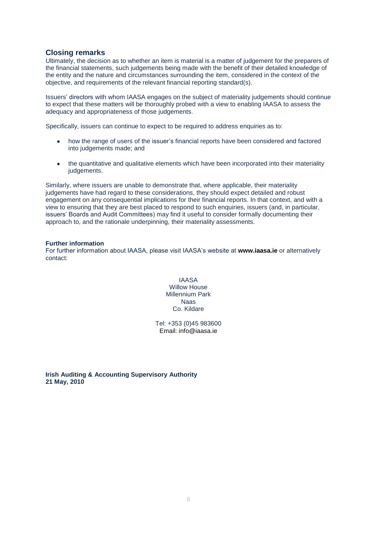## **Closing remarks**

Ultimately, the decision as to whether an item is material is a matter of judgement for the preparers of the financial statements, such judgements being made with the benefit of their detailed knowledge of the entity and the nature and circumstances surrounding the item, considered in the context of the objective, and requirements of the relevant financial reporting standard(s).

Issuers" directors with whom IAASA engages on the subject of materiality judgements should continue to expect that these matters will be thoroughly probed with a view to enabling IAASA to assess the adequacy and appropriateness of those judgements.

Specifically, issuers can continue to expect to be required to address enquiries as to:

- how the range of users of the issuer"s financial reports have been considered and factored into judgements made; and
- the quantitative and qualitative elements which have been incorporated into their materiality  $\bullet$ judgements.

Similarly, where issuers are unable to demonstrate that, where applicable, their materiality judgements have had regard to these considerations, they should expect detailed and robust engagement on any consequential implications for their financial reports. In that context, and with a view to ensuring that they are best placed to respond to such enquiries, issuers (and, in particular, issuers" Boards and Audit Committees) may find it useful to consider formally documenting their approach to, and the rationale underpinning, their materiality assessments.

#### **Further information**

For further information about IAASA, please visit IAASA"s website at **www.iaasa.ie** or alternatively contact:

> IAASA Willow House Millennium Park Naas Co. Kildare

Tel: +353 (0)45 983600 Email: info@iaasa.ie

**Irish Auditing & Accounting Supervisory Authority 21 May, 2010**